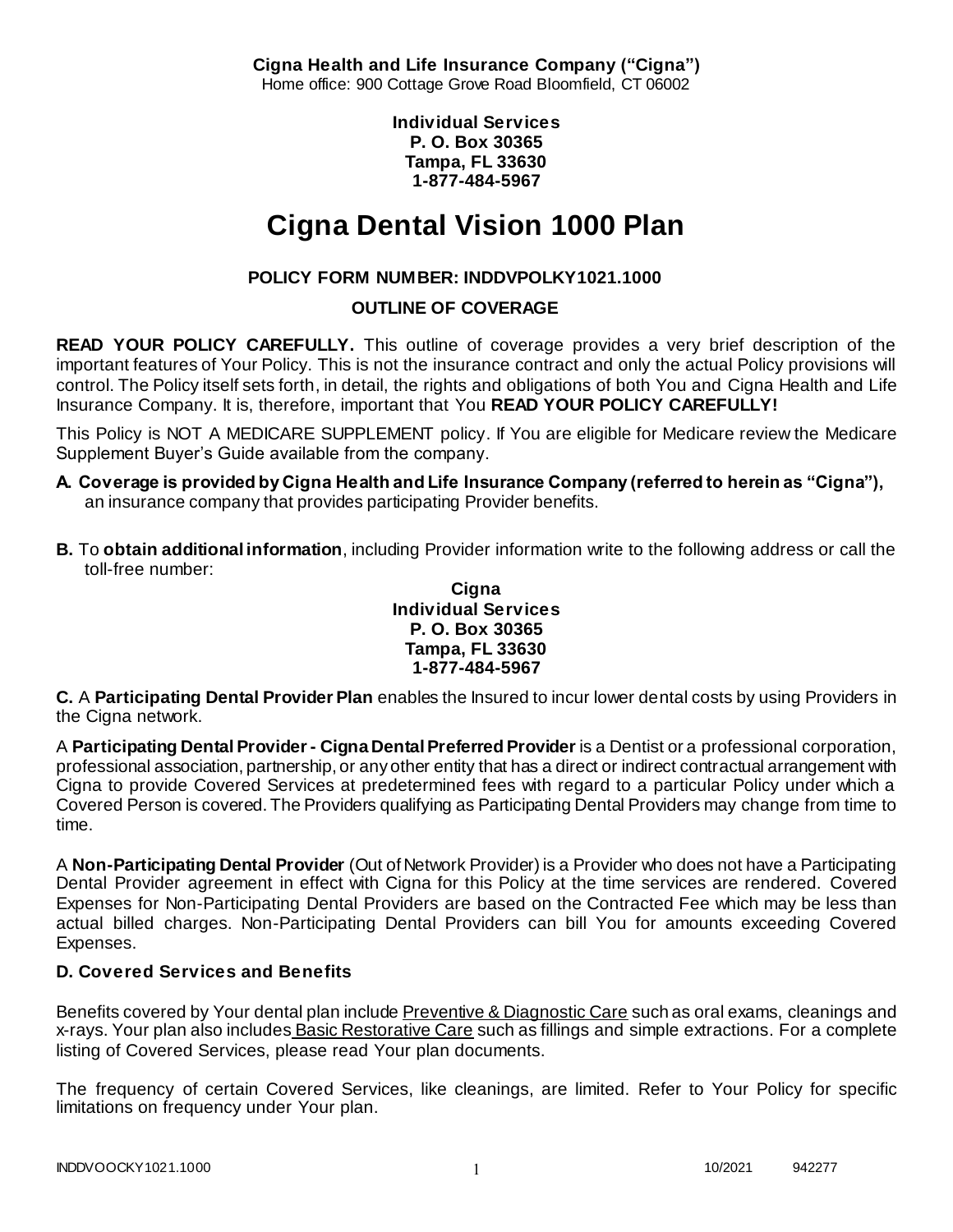**Cigna Health and Life Insurance Company ("Cigna")** Home office: 900 Cottage Grove Road Bloomfield, CT 06002

> **Individual Services P. O. Box 30365 Tampa, FL 33630 1-877-484-5967**

# **Cigna Dental Vision 1000 Plan**

# **POLICY FORM NUMBER: INDDVPOLKY1021.1000**

## **OUTLINE OF COVERAGE**

**READ YOUR POLICY CAREFULLY.** This outline of coverage provides a very brief description of the important features of Your Policy. This is not the insurance contract and only the actual Policy provisions will control. The Policy itself sets forth, in detail, the rights and obligations of both You and Cigna Health and Life Insurance Company. It is, therefore, important that You **READ YOUR POLICY CAREFULLY!** 

This Policy is NOT A MEDICARE SUPPLEMENT policy. If You are eligible for Medicare review the Medicare Supplement Buyer's Guide available from the company.

- **A. Coverage is provided by Cigna Health and Life Insurance Company (referred to herein as "Cigna"),**  an insurance company that provides participating Provider benefits.
- **B.** To **obtain additional information**, including Provider information write to the following address or call the toll-free number:

#### **Cigna Individual Services P. O. Box 30365 Tampa, FL 33630 1-877-484-5967**

**C.** A **Participating Dental Provider Plan** enables the Insured to incur lower dental costs by using Providers in the Cigna network.

A **Participating Dental Provider - Cigna Dental Preferred Provider** is a Dentist or a professional corporation, professional association, partnership, or any other entity that has a direct or indirect contractual arrangement with Cigna to provide Covered Services at predetermined fees with regard to a particular Policy under which a Covered Person is covered. The Providers qualifying as Participating Dental Providers may change from time to time.

A **Non-Participating Dental Provider** (Out of Network Provider) is a Provider who does not have a Participating Dental Provider agreement in effect with Cigna for this Policy at the time services are rendered. Covered Expenses for Non-Participating Dental Providers are based on the Contracted Fee which may be less than actual billed charges. Non-Participating Dental Providers can bill You for amounts exceeding Covered Expenses.

# **D. Covered Services and Benefits**

Benefits covered by Your dental plan include Preventive & Diagnostic Care such as oral exams, cleanings and x-rays. Your plan also includes Basic Restorative Care such as fillings and simple extractions. For a complete listing of Covered Services, please read Your plan documents.

The frequency of certain Covered Services, like cleanings, are limited. Refer to Your Policy for specific limitations on frequency under Your plan.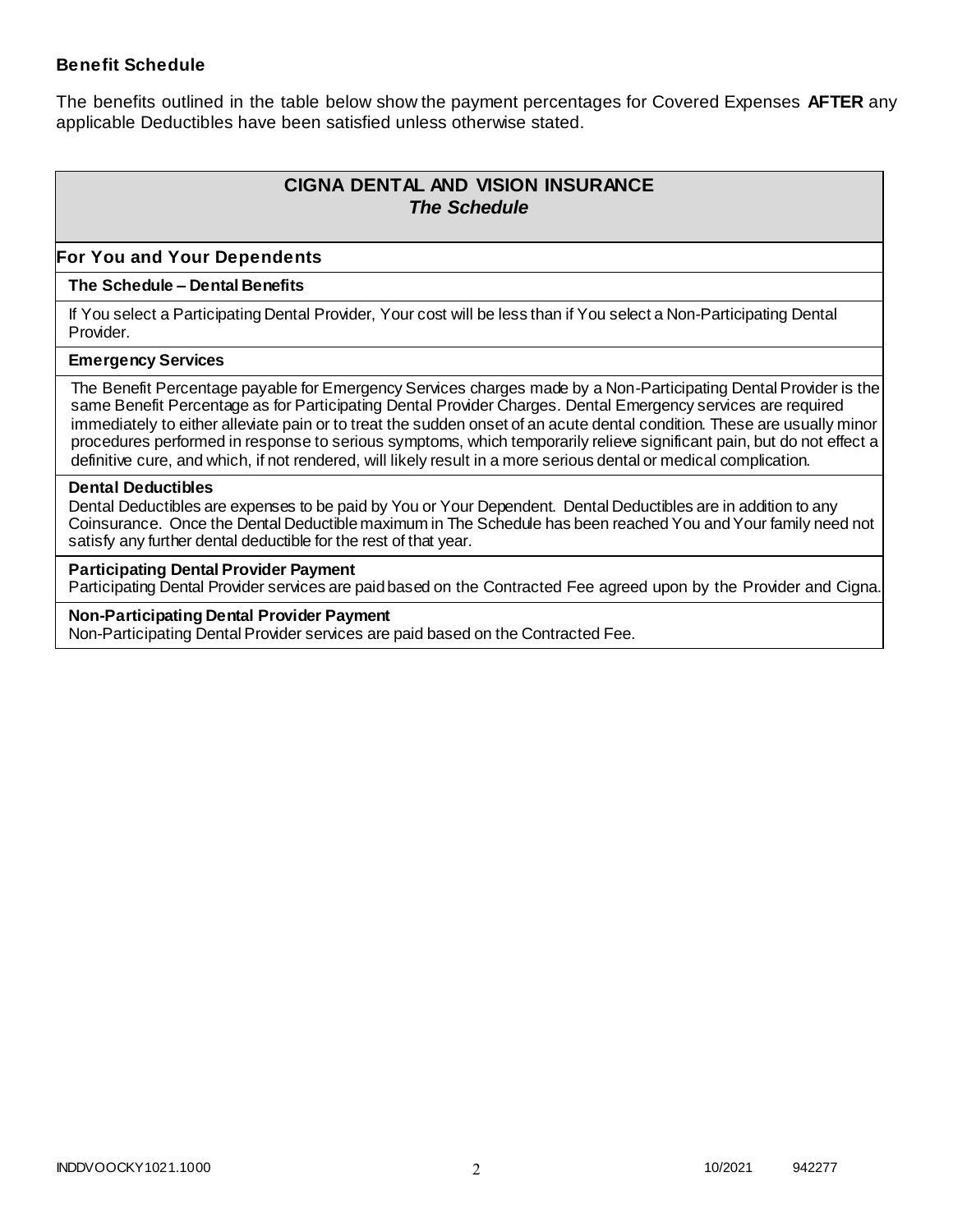### **Benefit Schedule**

The benefits outlined in the table below show the payment percentages for Covered Expenses **AFTER** any applicable Deductibles have been satisfied unless otherwise stated.

# **CIGNA DENTAL AND VISION INSURANCE** *The Schedule*

### **For You and Your Dependents**

#### **The Schedule – Dental Benefits**

If You select a Participating Dental Provider, Your cost will be less than if You select a Non-Participating Dental Provider.

#### **Emergency Services**

The Benefit Percentage payable for Emergency Services charges made by a Non-Participating Dental Provider is the same Benefit Percentage as for Participating Dental Provider Charges. Dental Emergency services are required immediately to either alleviate pain or to treat the sudden onset of an acute dental condition. These are usually minor procedures performed in response to serious symptoms, which temporarily relieve significant pain, but do not effect a definitive cure, and which, if not rendered, will likely result in a more serious dental or medical complication.

#### **Dental Deductibles**

Dental Deductibles are expenses to be paid by You or Your Dependent. Dental Deductibles are in addition to any Coinsurance. Once the Dental Deductible maximum in The Schedule has been reached You and Your family need not satisfy any further dental deductible for the rest of that year.

#### **Participating Dental Provider Payment**

Participating Dental Provider services are paid based on the Contracted Fee agreed upon by the Provider and Cigna.

**Non-Participating Dental Provider Payment** Non-Participating Dental Provider services are paid based on the Contracted Fee.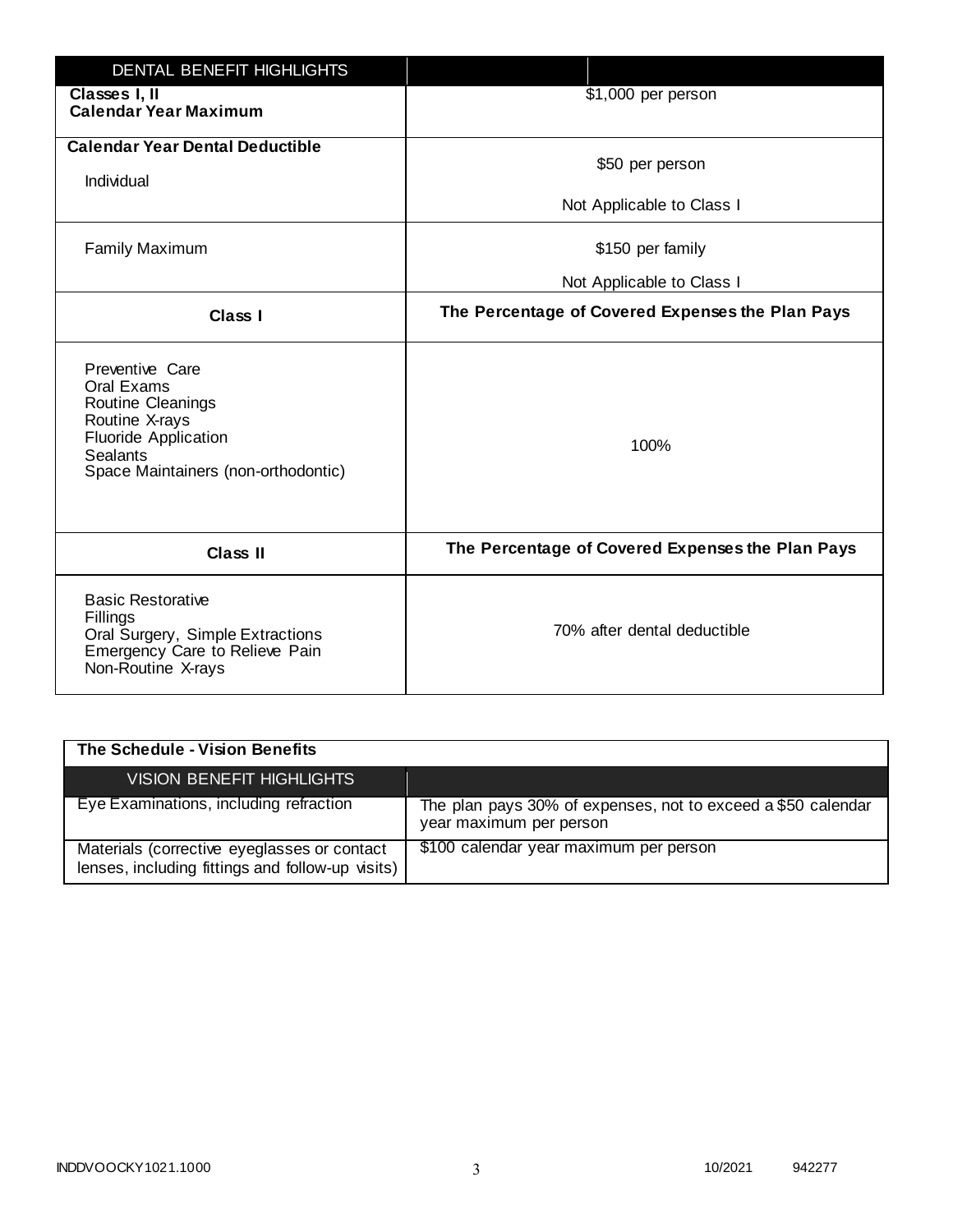| <b>DENTAL BENEFIT HIGHLIGHTS</b>                                                                                                                              |                                                  |
|---------------------------------------------------------------------------------------------------------------------------------------------------------------|--------------------------------------------------|
| Classes I, II<br><b>Calendar Year Maximum</b>                                                                                                                 | \$1,000 per person                               |
| <b>Calendar Year Dental Deductible</b><br>Individual                                                                                                          | \$50 per person                                  |
|                                                                                                                                                               | Not Applicable to Class I                        |
| <b>Family Maximum</b>                                                                                                                                         | \$150 per family                                 |
|                                                                                                                                                               | Not Applicable to Class I                        |
| <b>Class I</b>                                                                                                                                                | The Percentage of Covered Expenses the Plan Pays |
| Preventive Care<br>Oral Exams<br>Routine Cleanings<br>Routine X-rays<br><b>Fluoride Application</b><br><b>Sealants</b><br>Space Maintainers (non-orthodontic) | 100%                                             |
| <b>Class II</b>                                                                                                                                               | The Percentage of Covered Expenses the Plan Pays |
| <b>Basic Restorative</b><br>Fillings<br>Oral Surgery, Simple Extractions<br>Emergency Care to Relieve Pain<br>Non-Routine X-rays                              | 70% after dental deductible                      |

| The Schedule - Vision Benefits                                                                  |                                                                                         |
|-------------------------------------------------------------------------------------------------|-----------------------------------------------------------------------------------------|
| <b>VISION BENEFIT HIGHLIGHTS</b>                                                                |                                                                                         |
| Eye Examinations, including refraction                                                          | The plan pays 30% of expenses, not to exceed a \$50 calendar<br>year maximum per person |
| Materials (corrective eyeglasses or contact<br>lenses, including fittings and follow-up visits) | \$100 calendar year maximum per person                                                  |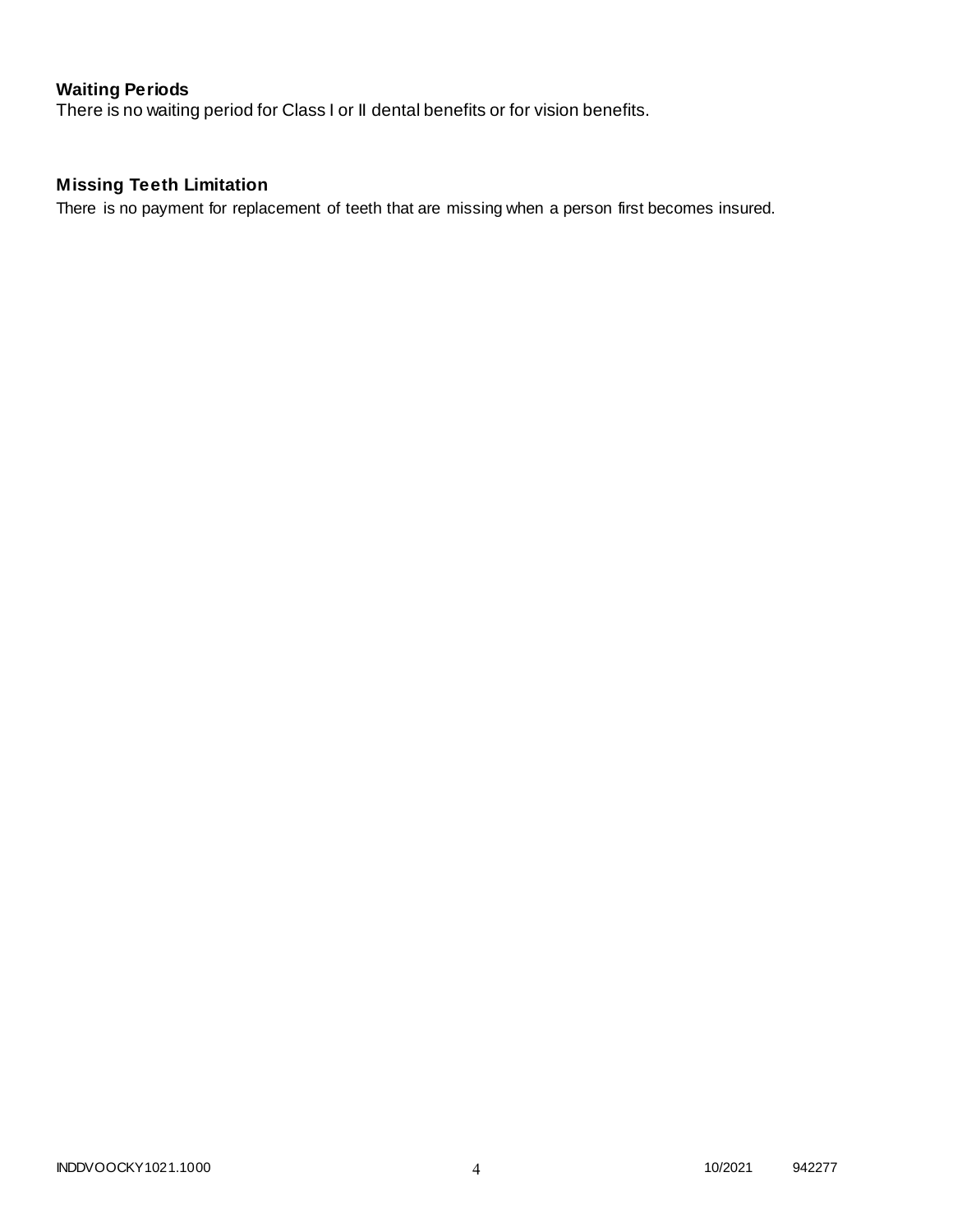# **Waiting Periods**

There is no waiting period for Class I or II dental benefits or for vision benefits.

# **Missing Teeth Limitation**

There is no payment for replacement of teeth that are missing when a person first becomes insured.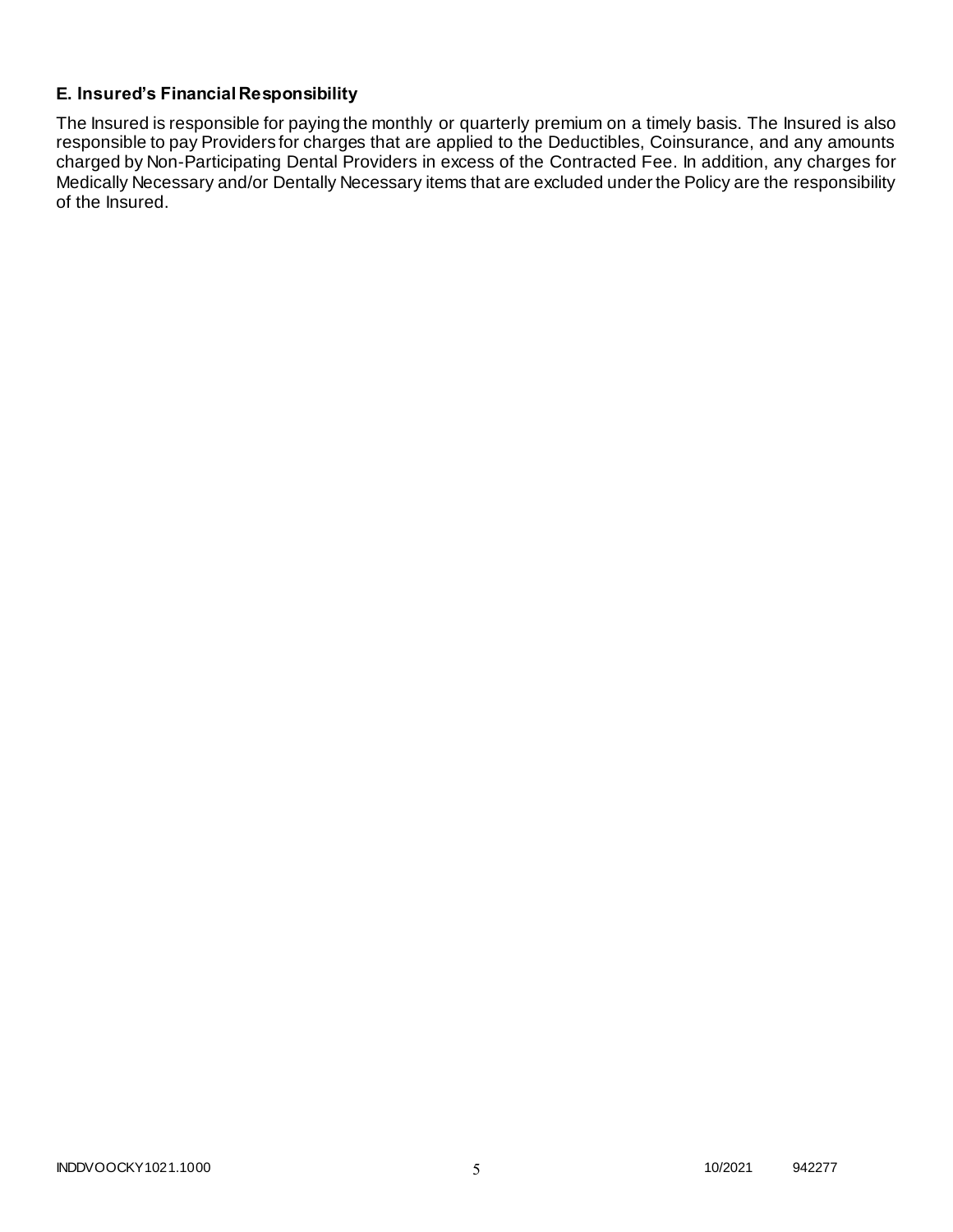## **E. Insured's Financial Responsibility**

The Insured is responsible for paying the monthly or quarterly premium on a timely basis. The Insured is also responsible to pay Providers for charges that are applied to the Deductibles, Coinsurance, and any amounts charged by Non-Participating Dental Providers in excess of the Contracted Fee. In addition, any charges for Medically Necessary and/or Dentally Necessary items that are excluded under the Policy are the responsibility of the Insured.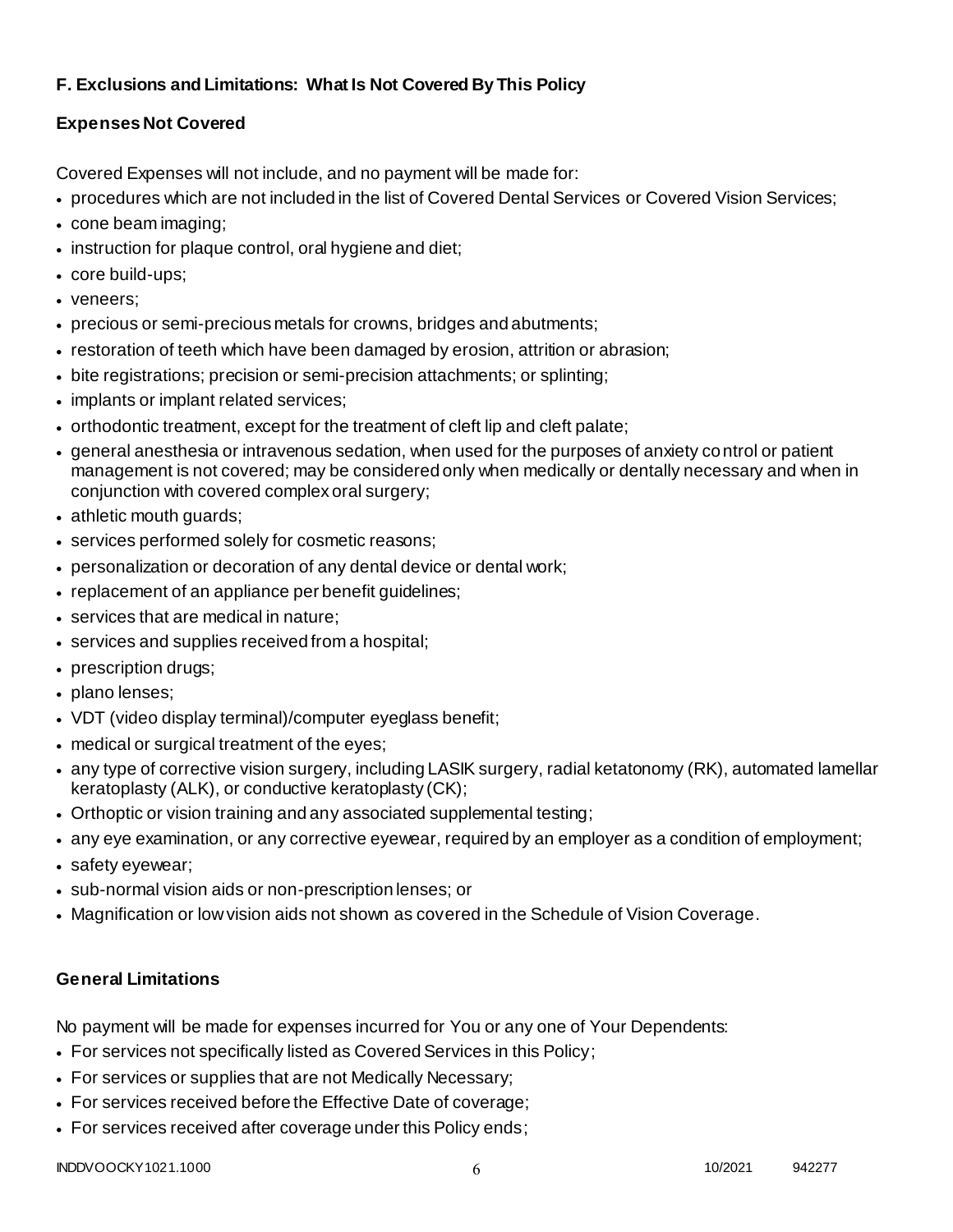# **F. Exclusions and Limitations: What Is Not Covered By This Policy**

# **Expenses Not Covered**

Covered Expenses will not include, and no payment will be made for:

- procedures which are not included in the list of Covered Dental Services or Covered Vision Services;
- cone beam imaging;
- instruction for plaque control, oral hygiene and diet;
- core build-ups;
- veneers;
- precious or semi-precious metals for crowns, bridges and abutments;
- restoration of teeth which have been damaged by erosion, attrition or abrasion;
- bite registrations; precision or semi-precision attachments; or splinting;
- implants or implant related services;
- orthodontic treatment, except for the treatment of cleft lip and cleft palate;
- general anesthesia or intravenous sedation, when used for the purposes of anxiety control or patient management is not covered; may be considered only when medically or dentally necessary and when in conjunction with covered complex oral surgery;
- athletic mouth guards;
- services performed solely for cosmetic reasons;
- personalization or decoration of any dental device or dental work;
- replacement of an appliance per benefit quidelines;
- services that are medical in nature;
- services and supplies received from a hospital;
- prescription drugs;
- plano lenses;
- VDT (video display terminal)/computer eyeglass benefit;
- medical or surgical treatment of the eyes;
- any type of corrective vision surgery, including LASIK surgery, radial ketatonomy (RK), automated lamellar keratoplasty (ALK), or conductive keratoplasty (CK);
- Orthoptic or vision training and any associated supplemental testing;
- any eye examination, or any corrective eyewear, required by an employer as a condition of employment;
- safety eyewear;
- sub-normal vision aids or non-prescription lenses; or
- Magnification or low vision aids not shown as covered in the Schedule of Vision Coverage.

# **General Limitations**

No payment will be made for expenses incurred for You or any one of Your Dependents:

- For services not specifically listed as Covered Services in this Policy;
- For services or supplies that are not Medically Necessary;
- For services received before the Effective Date of coverage;
- For services received after coverage under this Policy ends;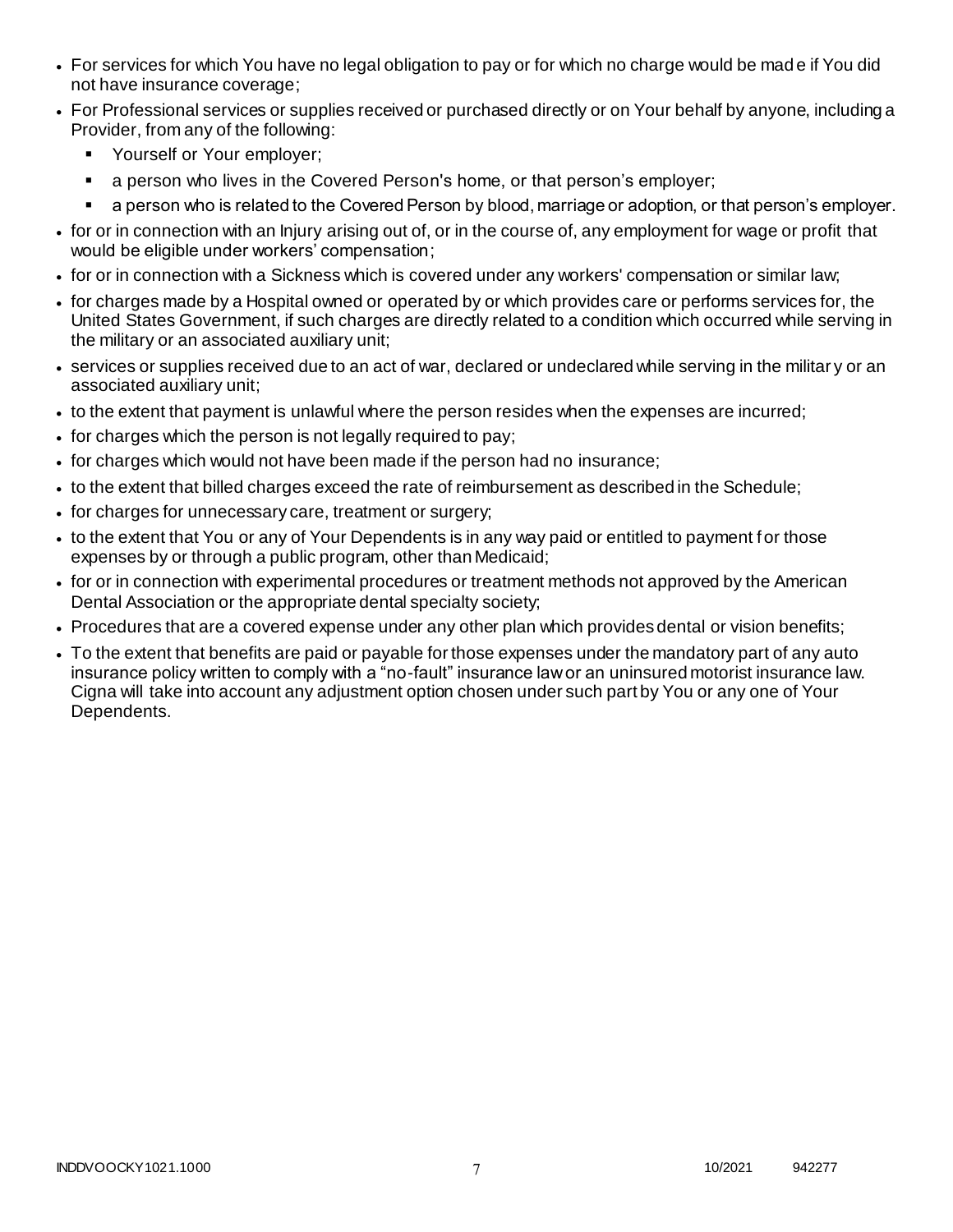- For services for which You have no legal obligation to pay or for which no charge would be mad e if You did not have insurance coverage;
- For Professional services or supplies received or purchased directly or on Your behalf by anyone, including a Provider, from any of the following:
	- **•** Yourself or Your employer;
	- a person who lives in the Covered Person's home, or that person's employer;
	- a person who is related to the Covered Person by blood, marriage or adoption, or that person's employer.
- for or in connection with an Injury arising out of, or in the course of, any employment for wage or profit that would be eligible under workers' compensation;
- for or in connection with a Sickness which is covered under any workers' compensation or similar law;
- for charges made by a Hospital owned or operated by or which provides care or performs services for, the United States Government, if such charges are directly related to a condition which occurred while serving in the military or an associated auxiliary unit;
- services or supplies received due to an act of war, declared or undeclared while serving in the militar y or an associated auxiliary unit;
- to the extent that payment is unlawful where the person resides when the expenses are incurred;
- for charges which the person is not legally required to pay;
- for charges which would not have been made if the person had no insurance;
- to the extent that billed charges exceed the rate of reimbursement as described in the Schedule;
- for charges for unnecessary care, treatment or surgery;
- to the extent that You or any of Your Dependents is in any way paid or entitled to payment for those expenses by or through a public program, other than Medicaid;
- for or in connection with experimental procedures or treatment methods not approved by the American Dental Association or the appropriate dental specialty society;
- Procedures that are a covered expense under any other plan which provides dental or vision benefits;
- To the extent that benefits are paid or payable for those expenses under the mandatory part of any auto insurance policy written to comply with a "no-fault" insurance law or an uninsured motorist insurance law. Cigna will take into account any adjustment option chosen under such part by You or any one of Your Dependents.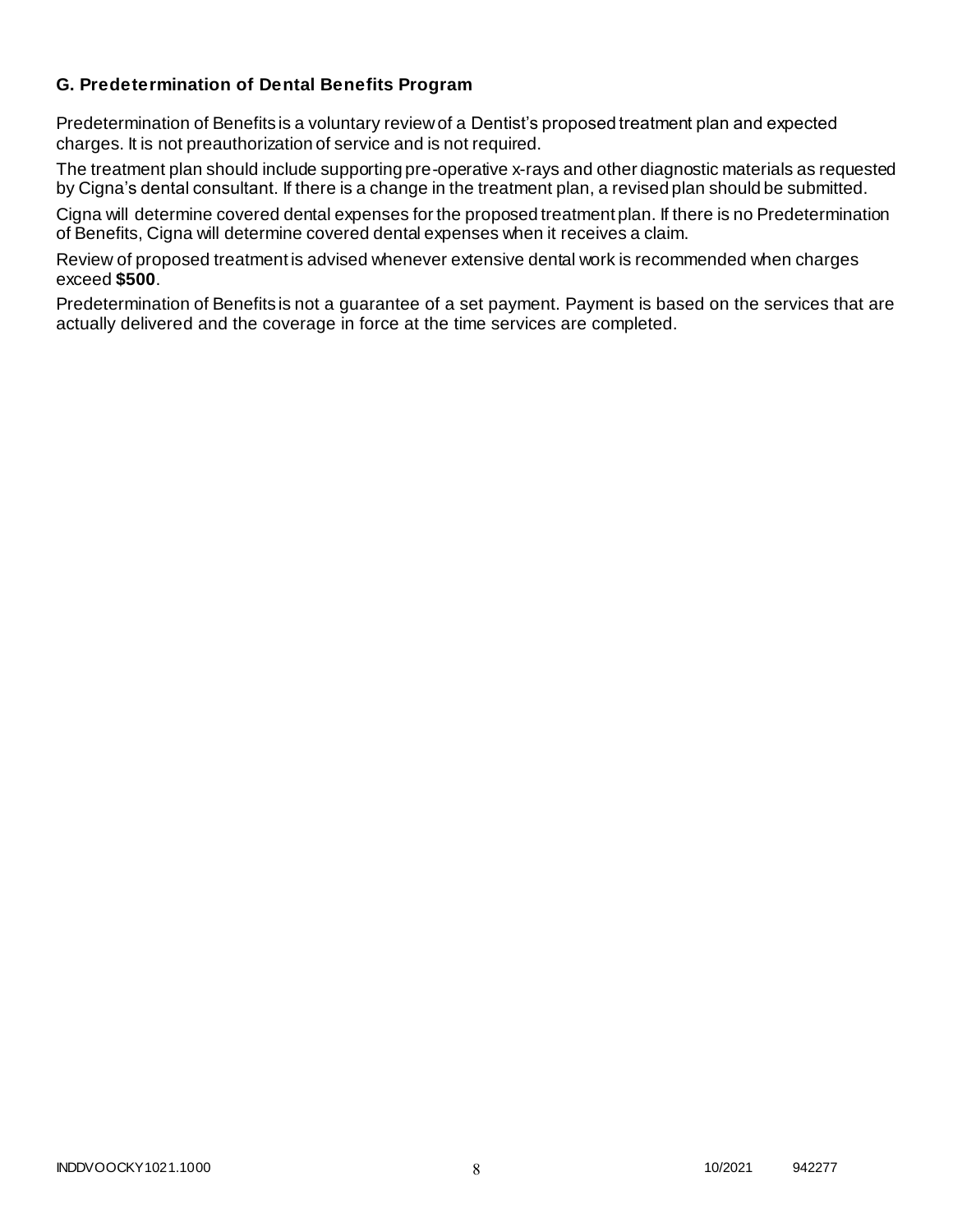### **G. Predetermination of Dental Benefits Program**

Predetermination of Benefits is a voluntary review of a Dentist's proposed treatment plan and expected charges. It is not preauthorization of service and is not required.

The treatment plan should include supporting pre-operative x-rays and other diagnostic materials as requested by Cigna's dental consultant. If there is a change in the treatment plan, a revised plan should be submitted.

Cigna will determine covered dental expenses for the proposed treatment plan. If there is no Predetermination of Benefits, Cigna will determine covered dental expenses when it receives a claim.

Review of proposed treatment is advised whenever extensive dental work is recommended when charges exceed **\$500**.

Predetermination of Benefits is not a guarantee of a set payment. Payment is based on the services that are actually delivered and the coverage in force at the time services are completed.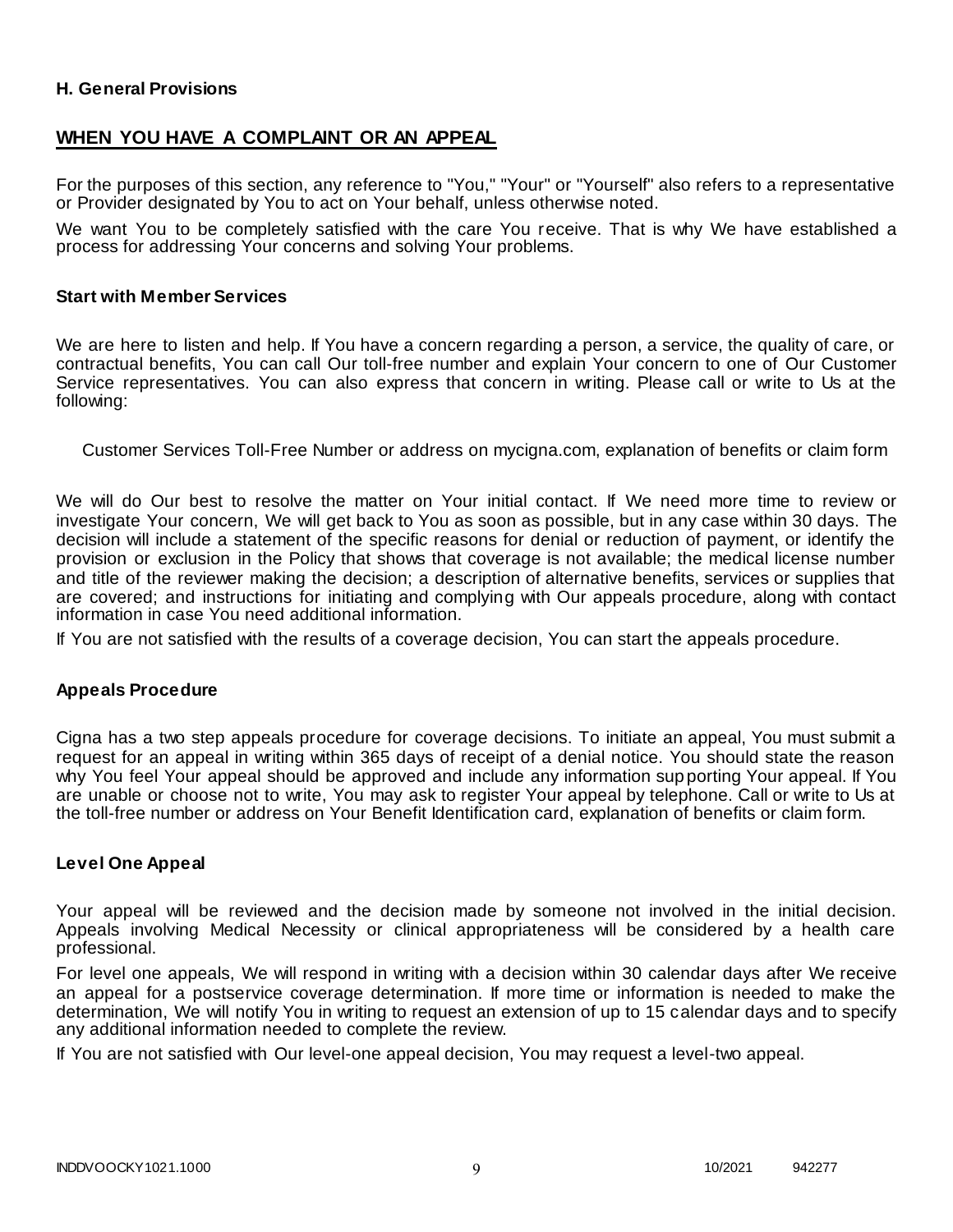### **H. General Provisions**

### **WHEN YOU HAVE A COMPLAINT OR AN APPEAL**

For the purposes of this section, any reference to "You," "Your" or "Yourself" also refers to a representative or Provider designated by You to act on Your behalf, unless otherwise noted.

We want You to be completely satisfied with the care You receive. That is why We have established a process for addressing Your concerns and solving Your problems.

#### **Start with Member Services**

We are here to listen and help. If You have a concern regarding a person, a service, the quality of care, or contractual benefits, You can call Our toll-free number and explain Your concern to one of Our Customer Service representatives. You can also express that concern in writing. Please call or write to Us at the following:

Customer Services Toll-Free Number or address on mycigna.com, explanation of benefits or claim form

We will do Our best to resolve the matter on Your initial contact. If We need more time to review or investigate Your concern, We will get back to You as soon as possible, but in any case within 30 days. The decision will include a statement of the specific reasons for denial or reduction of payment, or identify the provision or exclusion in the Policy that shows that coverage is not available; the medical license number and title of the reviewer making the decision; a description of alternative benefits, services or supplies that are covered; and instructions for initiating and complying with Our appeals procedure, along with contact information in case You need additional information.

If You are not satisfied with the results of a coverage decision, You can start the appeals procedure.

#### **Appeals Procedure**

Cigna has a two step appeals procedure for coverage decisions. To initiate an appeal, You must submit a request for an appeal in writing within 365 days of receipt of a denial notice. You should state the reason why You feel Your appeal should be approved and include any information supporting Your appeal. If You are unable or choose not to write, You may ask to register Your appeal by telephone. Call or write to Us at the toll-free number or address on Your Benefit Identification card, explanation of benefits or claim form.

#### **Level One Appeal**

Your appeal will be reviewed and the decision made by someone not involved in the initial decision. Appeals involving Medical Necessity or clinical appropriateness will be considered by a health care professional.

For level one appeals, We will respond in writing with a decision within 30 calendar days after We receive an appeal for a postservice coverage determination. If more time or information is needed to make the determination, We will notify You in writing to request an extension of up to 15 calendar days and to specify any additional information needed to complete the review.

If You are not satisfied with Our level-one appeal decision, You may request a level-two appeal.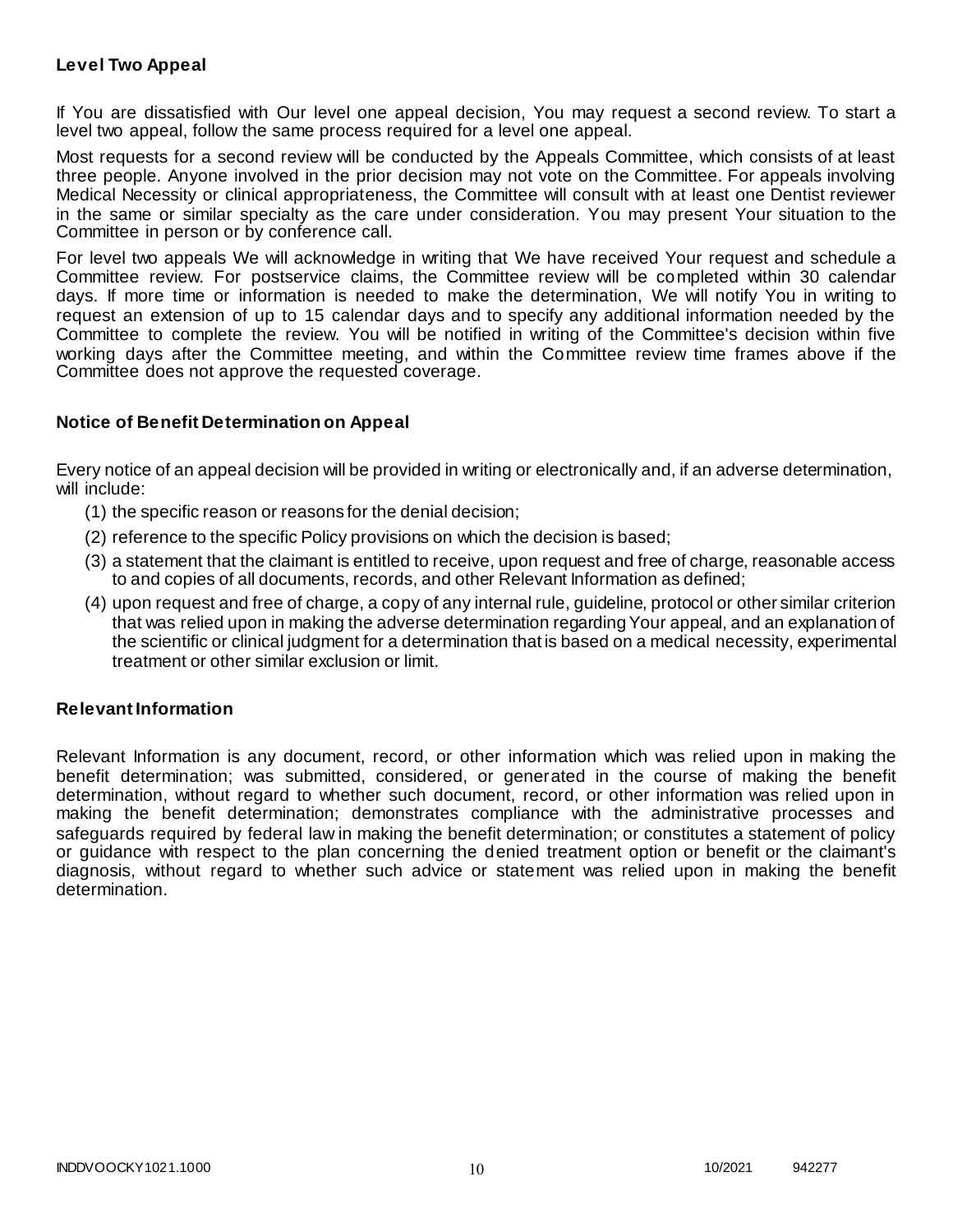### **Level Two Appeal**

If You are dissatisfied with Our level one appeal decision, You may request a second review. To start a level two appeal, follow the same process required for a level one appeal.

Most requests for a second review will be conducted by the Appeals Committee, which consists of at least three people. Anyone involved in the prior decision may not vote on the Committee. For appeals involving Medical Necessity or clinical appropriateness, the Committee will consult with at least one Dentist reviewer in the same or similar specialty as the care under consideration. You may present Your situation to the Committee in person or by conference call.

For level two appeals We will acknowledge in writing that We have received Your request and schedule a Committee review. For postservice claims, the Committee review will be completed within 30 calendar days. If more time or information is needed to make the determination, We will notify You in writing to request an extension of up to 15 calendar days and to specify any additional information needed by the Committee to complete the review. You will be notified in writing of the Committee's decision within five working days after the Committee meeting, and within the Committee review time frames above if the Committee does not approve the requested coverage.

#### **Notice of Benefit Determination on Appeal**

Every notice of an appeal decision will be provided in writing or electronically and, if an adverse determination, will include:

- (1) the specific reason or reasons for the denial decision;
- (2) reference to the specific Policy provisions on which the decision is based;
- (3) a statement that the claimant is entitled to receive, upon request and free of charge, reasonable access to and copies of all documents, records, and other Relevant Information as defined;
- (4) upon request and free of charge, a copy of any internal rule, guideline, protocol or other similar criterion that was relied upon in making the adverse determination regarding Your appeal, and an explanation of the scientific or clinical judgment for a determination that is based on a medical necessity, experimental treatment or other similar exclusion or limit.

#### **Relevant Information**

Relevant Information is any document, record, or other information which was relied upon in making the benefit determination; was submitted, considered, or generated in the course of making the benefit determination, without regard to whether such document, record, or other information was relied upon in making the benefit determination; demonstrates compliance with the administrative processes and safeguards required by federal law in making the benefit determination; or constitutes a statement of policy or guidance with respect to the plan concerning the denied treatment option or benefit or the claimant's diagnosis, without regard to whether such advice or statement was relied upon in making the benefit determination.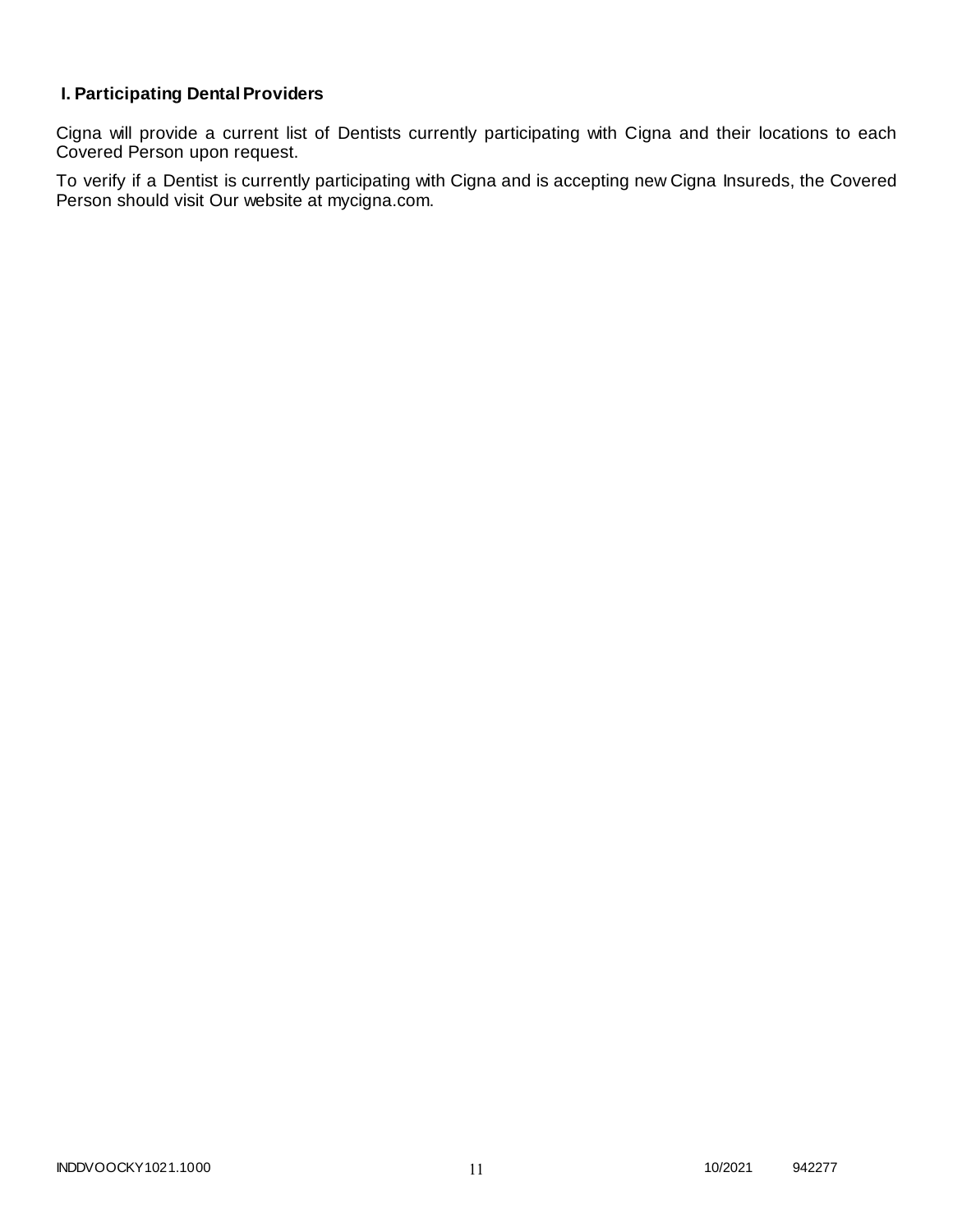# **I. Participating Dental Providers**

Cigna will provide a current list of Dentists currently participating with Cigna and their locations to each Covered Person upon request.

To verify if a Dentist is currently participating with Cigna and is accepting new Cigna Insureds, the Covered Person should visit Our website at mycigna.com.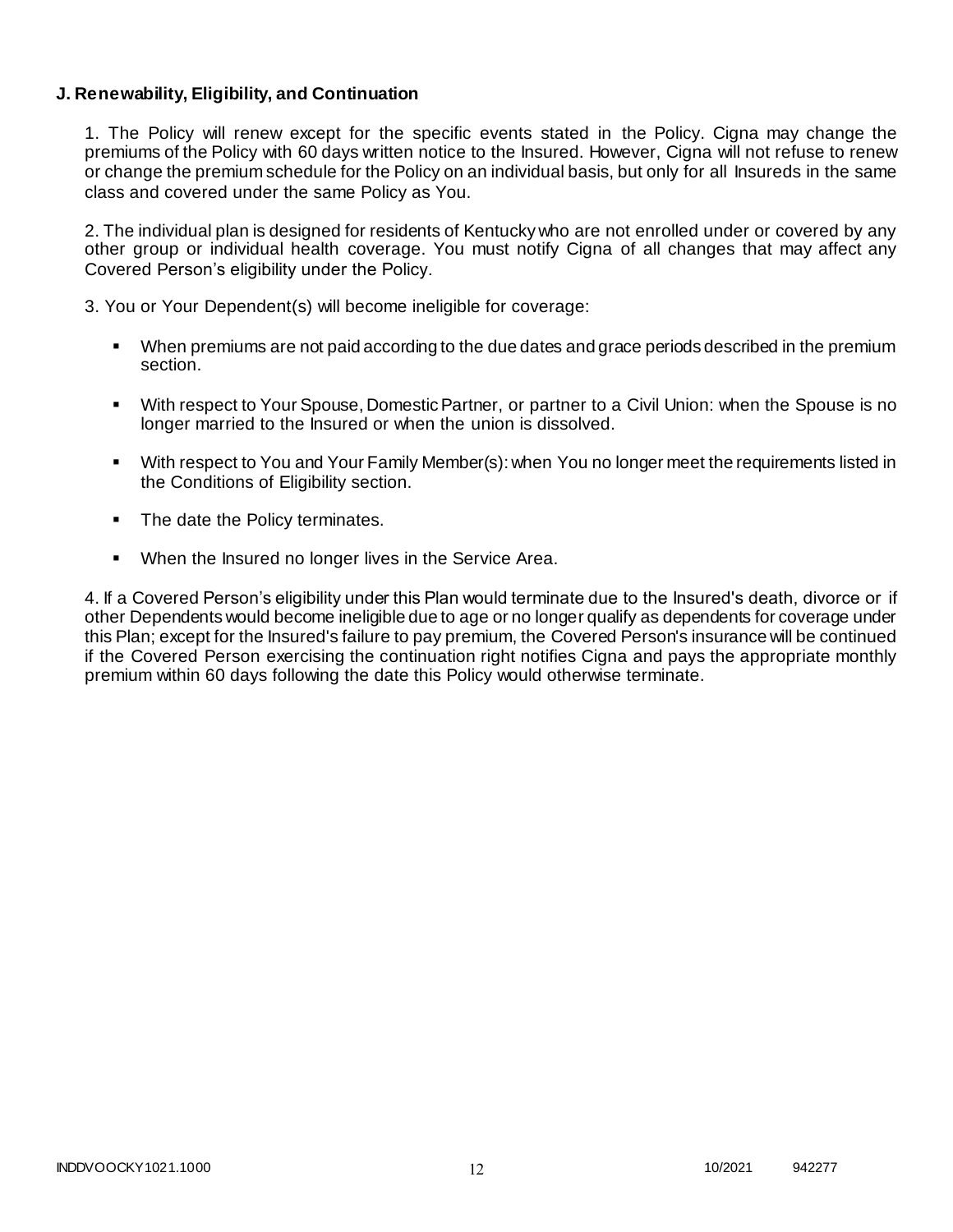### **J. Renewability, Eligibility, and Continuation**

1. The Policy will renew except for the specific events stated in the Policy. Cigna may change the premiums of the Policy with 60 days written notice to the Insured. However, Cigna will not refuse to renew or change the premium schedule for the Policy on an individual basis, but only for all Insureds in the same class and covered under the same Policy as You.

2. The individual plan is designed for residents of Kentucky who are not enrolled under or covered by any other group or individual health coverage. You must notify Cigna of all changes that may affect any Covered Person's eligibility under the Policy.

3. You or Your Dependent(s) will become ineligible for coverage:

- When premiums are not paid according to the due dates and grace periods described in the premium section.
- With respect to Your Spouse, Domestic Partner, or partner to a Civil Union: when the Spouse is no longer married to the Insured or when the union is dissolved.
- With respect to You and Your Family Member(s): when You no longer meet the requirements listed in the Conditions of Eligibility section.
- The date the Policy terminates.
- When the Insured no longer lives in the Service Area.

4. If a Covered Person's eligibility under this Plan would terminate due to the Insured's death, divorce or if other Dependents would become ineligible due to age or no longer qualify as dependents for coverage under this Plan; except for the Insured's failure to pay premium, the Covered Person's insurance will be continued if the Covered Person exercising the continuation right notifies Cigna and pays the appropriate monthly premium within 60 days following the date this Policy would otherwise terminate.